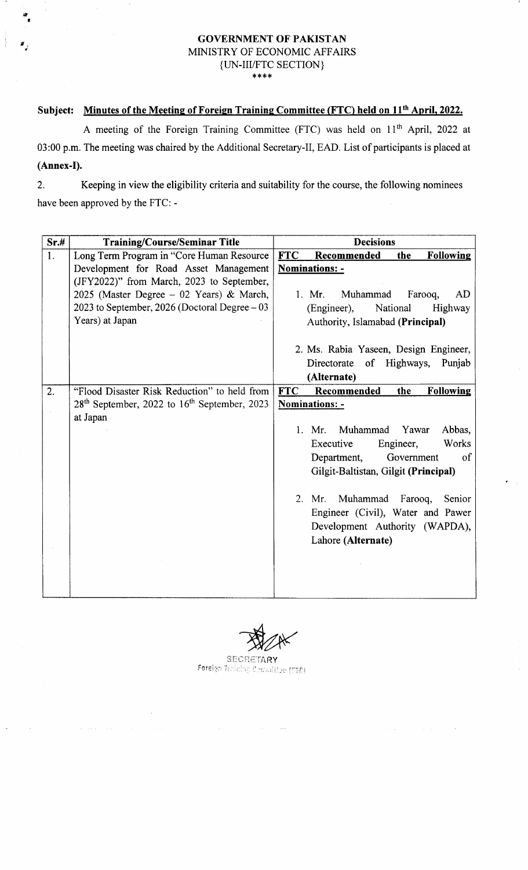### GOVERNMENT OF PAKISTAN MINISTRY OF ECONOMIC AFFAIRS {UN-III/FTC SECTION}  $***$

## Subject: Minutes of the Meeting of Foreign Training Committee (FTC) held on 11<sup>th</sup> April, 2022.

af t

> A meeting of the Foreign Training Committee (FTC) was held on 11<sup>th</sup> April, 2022 at 03:00 p.m. The meeting was chaired by the Additional Secretary-Il, EAD. List of participants is placed at (Annex-I).

2. Keeping in view the eligibility criteria and suitability for the course, the following nominees have been approved by the FTC: -

| Sr.# | <b>Training/Course/Seminar Title</b>                       | <b>Decisions</b>                                     |
|------|------------------------------------------------------------|------------------------------------------------------|
| 1.   | Long Term Program in "Core Human Resource                  | <b>FTC</b><br>Recommended<br><b>Following</b><br>the |
|      | Development for Road Asset Management                      | <b>Nominations: -</b>                                |
|      | (JFY2022)" from March, 2023 to September,                  |                                                      |
|      | 2025 (Master Degree $-$ 02 Years) & March,                 | Muhammad<br>1. Mr.<br>Farooq,<br>AD                  |
|      | 2023 to September, 2026 (Doctoral Degree $-03$             | National<br>Highway<br>(Engineer),                   |
|      | Years) at Japan                                            | Authority, Islamabad (Principal)                     |
|      |                                                            |                                                      |
|      |                                                            | 2. Ms. Rabia Yaseen, Design Engineer,                |
|      |                                                            | of Highways,<br>Directorate<br>Punjab                |
|      |                                                            | (Alternate)                                          |
| 2.   | "Flood Disaster Risk Reduction" to held from               | <b>FTC</b><br>Recommended<br><b>Following</b><br>the |
|      | $28th$ September, 2022 to 16 <sup>th</sup> September, 2023 | Nominations: -                                       |
|      | at Japan                                                   |                                                      |
|      |                                                            | 1. Mr. Muhammad<br>Yawar<br>Abbas,                   |
|      |                                                            | Works<br>Executive<br>Engineer,                      |
|      |                                                            | of<br>Department,<br>Government                      |
|      |                                                            | Gilgit-Baltistan, Gilgit (Principal)                 |
|      |                                                            |                                                      |
|      |                                                            | 2. Mr. Muhammad<br>Farooq,<br>Senior                 |
|      |                                                            | Engineer (Civil), Water and Pawer                    |
|      |                                                            | Development Authority (WAPDA),                       |
|      |                                                            | Lahore (Alternate)                                   |
|      |                                                            |                                                      |
|      |                                                            |                                                      |
|      |                                                            |                                                      |
|      |                                                            |                                                      |

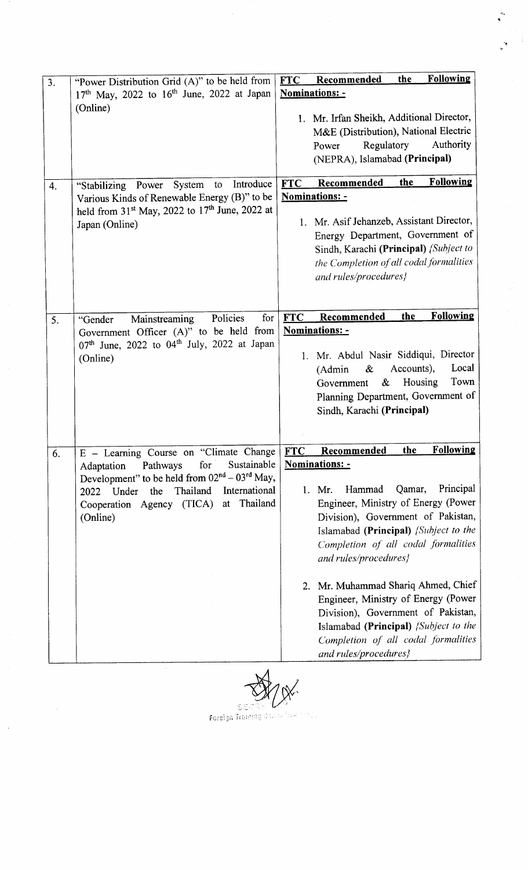| 3. | "Power Distribution Grid (A)" to be held from                                                                                                                                                                         | <b>Following</b><br>the<br><b>FTC</b><br><b>Recommended</b>                                                                                                                                                                                                                                                                                                                                                                                                                         |
|----|-----------------------------------------------------------------------------------------------------------------------------------------------------------------------------------------------------------------------|-------------------------------------------------------------------------------------------------------------------------------------------------------------------------------------------------------------------------------------------------------------------------------------------------------------------------------------------------------------------------------------------------------------------------------------------------------------------------------------|
|    | $17th$ May, 2022 to $16th$ June, 2022 at Japan                                                                                                                                                                        | Nominations: -                                                                                                                                                                                                                                                                                                                                                                                                                                                                      |
|    | (Online)                                                                                                                                                                                                              | 1. Mr. Irfan Sheikh, Additional Director,<br>M&E (Distribution), National Electric<br>Regulatory<br>Authority<br>Power<br>(NEPRA), Islamabad (Principal)                                                                                                                                                                                                                                                                                                                            |
| 4. | Introduce<br>System<br>"Stabilizing Power<br>to                                                                                                                                                                       | <b>Following</b><br>the<br><b>FTC</b><br><b>Recommended</b>                                                                                                                                                                                                                                                                                                                                                                                                                         |
|    | Various Kinds of Renewable Energy (B)" to be<br>held from 31 <sup>st</sup> May, 2022 to 17 <sup>th</sup> June, 2022 at<br>Japan (Online)                                                                              | <b>Nominations: -</b><br>1. Mr. Asif Jehanzeb, Assistant Director,<br>Energy Department, Government of<br>Sindh, Karachi (Principal) {Subject to<br>the Completion of all codal formalities<br>and rules/procedures}                                                                                                                                                                                                                                                                |
| 5. | Policies<br>for<br>Mainstreaming<br>"Gender                                                                                                                                                                           | <b>Following</b><br>Recommended<br>the<br><b>FTC</b>                                                                                                                                                                                                                                                                                                                                                                                                                                |
|    | Government Officer (A)" to be held from<br>07th June, 2022 to 04th July, 2022 at Japan<br>(Online)                                                                                                                    | <b>Nominations: -</b><br>1. Mr. Abdul Nasir Siddiqui, Director<br>Accounts),<br>Local<br>&<br>(Admin)<br>Town<br>Housing<br>&<br>Government<br>Planning Department, Government of<br>Sindh, Karachi (Principal)                                                                                                                                                                                                                                                                     |
| 6. | E - Learning Course on "Climate Change                                                                                                                                                                                | <b>Following</b><br>the<br><b>Recommended</b><br><b>FTC</b>                                                                                                                                                                                                                                                                                                                                                                                                                         |
|    | Sustainable<br>for<br>Pathways<br>Adaptation<br>Development" to be held from $02^{nd} - 03^{rd}$ May,<br>Thailand<br>International<br>the<br>Under<br>2022<br>Thailand<br>Cooperation Agency (TICA)<br>at<br>(Online) | Nominations: -<br>Principal<br>Hammad<br>Qamar,<br>1. Mr.<br>Engineer, Ministry of Energy (Power<br>Division), Government of Pakistan,<br>Islamabad (Principal) (Subject to the<br>Completion of all codal formalities<br>and rules/procedures}<br>2. Mr. Muhammad Shariq Ahmed, Chief<br>Engineer, Ministry of Energy (Power<br>Division), Government of Pakistan,<br>Islamabad (Principal) <i>{Subject to the</i><br>Completion of all codal formalities<br>and rules/procedures} |

 $\bar{\bar{z}}$ 

'!

 $\frac{1}{2}$ 

 $\begin{array}{c} \frac{1}{\alpha_{\alpha}}\\ \end{array}$ 

roreign Traistag

 $\bar{z}$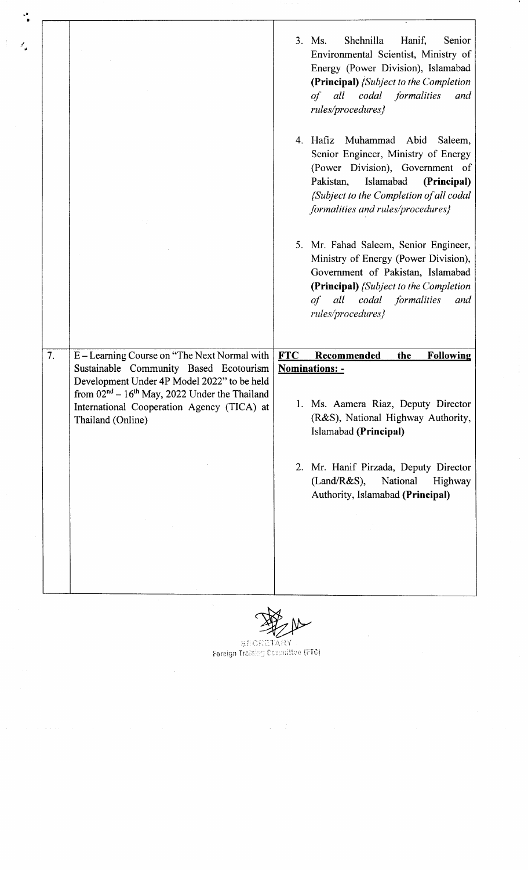|    |                                                                                                                    | Shehnilla<br>Hanif,<br>Senior<br>3. Ms.<br>Environmental Scientist, Ministry of<br>Energy (Power Division), Islamabad<br>(Principal) <i>(Subject to the Completion</i><br>of all codal formalities<br>and<br>rules/procedures}          |
|----|--------------------------------------------------------------------------------------------------------------------|-----------------------------------------------------------------------------------------------------------------------------------------------------------------------------------------------------------------------------------------|
|    |                                                                                                                    | 4. Hafiz<br>Muhammad Abid<br>Saleem,<br>Senior Engineer, Ministry of Energy<br>(Power Division), Government of<br>Pakistan,<br>Islamabad<br>(Principal)<br>{Subject to the Completion of all codal<br>formalities and rules/procedures} |
|    |                                                                                                                    | 5. Mr. Fahad Saleem, Senior Engineer,<br>Ministry of Energy (Power Division),<br>Government of Pakistan, Islamabad<br>(Principal) {Subject to the Completion<br>all codal formalities<br>of<br>and<br>rules/procedures}                 |
|    |                                                                                                                    |                                                                                                                                                                                                                                         |
|    |                                                                                                                    |                                                                                                                                                                                                                                         |
| 7. | E – Learning Course on "The Next Normal with"<br>Sustainable Community Based Ecotourism                            | <b>FTC</b><br>Recommended<br><b>Following</b><br>the                                                                                                                                                                                    |
|    | Development Under 4P Model 2022" to be held                                                                        | <b>Nominations: -</b>                                                                                                                                                                                                                   |
|    | from $02nd - 16th$ May, 2022 Under the Thailand<br>International Cooperation Agency (TICA) at<br>Thailand (Online) | 1. Ms. Aamera Riaz, Deputy Director<br>(R&S), National Highway Authority,<br>Islamabad (Principal)                                                                                                                                      |
|    |                                                                                                                    | Mr. Hanif Pirzada, Deputy Director<br>2.<br>$(Land/R&S)$ ,<br>National<br>Highway<br>Authority, Islamabad (Principal)                                                                                                                   |
|    |                                                                                                                    |                                                                                                                                                                                                                                         |
|    |                                                                                                                    |                                                                                                                                                                                                                                         |
|    |                                                                                                                    |                                                                                                                                                                                                                                         |
|    |                                                                                                                    |                                                                                                                                                                                                                                         |

 $\frac{1}{4}$ 

 $\ddot{\phantom{a}}$ 

 $\frac{1}{2}$  .  $\sigma_{\rm eff}^{\rm c}$ 

 $\label{eq:2.1} \frac{1}{\sqrt{2\pi}}\sum_{i=1}^n\frac{1}{\sqrt{2\pi}}\sum_{i=1}^n\frac{1}{\sqrt{2\pi}}\sum_{i=1}^n\frac{1}{\sqrt{2\pi}}\sum_{i=1}^n\frac{1}{\sqrt{2\pi}}\sum_{i=1}^n\frac{1}{\sqrt{2\pi}}\sum_{i=1}^n\frac{1}{\sqrt{2\pi}}\sum_{i=1}^n\frac{1}{\sqrt{2\pi}}\sum_{i=1}^n\frac{1}{\sqrt{2\pi}}\sum_{i=1}^n\frac{1}{\sqrt{2\pi}}\sum_{i=1}^n\$ 

SECRETARY<br>Foreign Training Committee (FTC)

 $\mathcal{A}^{\mathcal{A}}$ 

 $\label{eq:1} \left\langle \mathbf{v} \right\rangle = \left\langle \left\langle \mathbf{v} \right\rangle \right\rangle + \left\langle \left\langle \mathbf{v} \right\rangle \right\rangle + \left\langle \left\langle \mathbf{v} \right\rangle \right\rangle + \left\langle \left\langle \mathbf{v} \right\rangle \right\rangle + \left\langle \left\langle \mathbf{v} \right\rangle \right\rangle + \left\langle \left\langle \mathbf{v} \right\rangle \right\rangle + \left\langle \left\langle \mathbf{v} \right\rangle \right\rangle + \left\langle \left\langle \mathbf{v} \right\rangle \right\rangle + \left\langle \left\langle \mathbf{v}$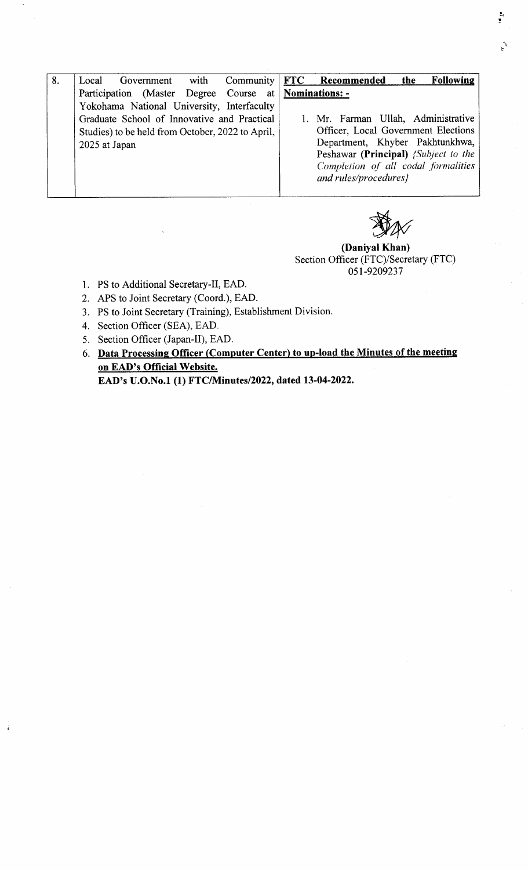| 8. | with<br>Local<br>Government                         | <b>Following</b><br>Community   FTC Recommended<br>the |
|----|-----------------------------------------------------|--------------------------------------------------------|
|    | Participation (Master Degree Course at Nominations: |                                                        |
|    | Yokohama National University, Interfaculty          |                                                        |
|    | Graduate School of Innovative and Practical         | 1. Mr. Farman Ullah, Administrative                    |
|    | Studies) to be held from October, 2022 to April,    | Officer, Local Government Elections                    |
|    | 2025 at Japan                                       | Department, Khyber Pakhtunkhwa,                        |
|    |                                                     | Peshawar (Principal) <i>{Subject to the</i>            |
|    |                                                     | Completion of all codal formalities                    |
|    |                                                     | and rules/procedures}                                  |
|    |                                                     |                                                        |



(Daniyal Khan) Section Officer (FTC)/Secretary (FTC) 05r-9209237

- 1. PS to Additional Secretary-Il, EAD.
- 2. APS to Joint Secretary (Coord.), EAD.
- 3. PS to Joint Secretary (Training), Establishment Division.
- 4. Section Officer (SEA), EAD.
- 5. Section Officer (Japan-II), EAD.
- 6. Data Processing Officer (Computer Center) to up-load the Minutes of the meetine on EAD's Official Website.

EAD's U.O.No.1 (1) fTc/Nlinutes/2022, dated 13-04-2022.